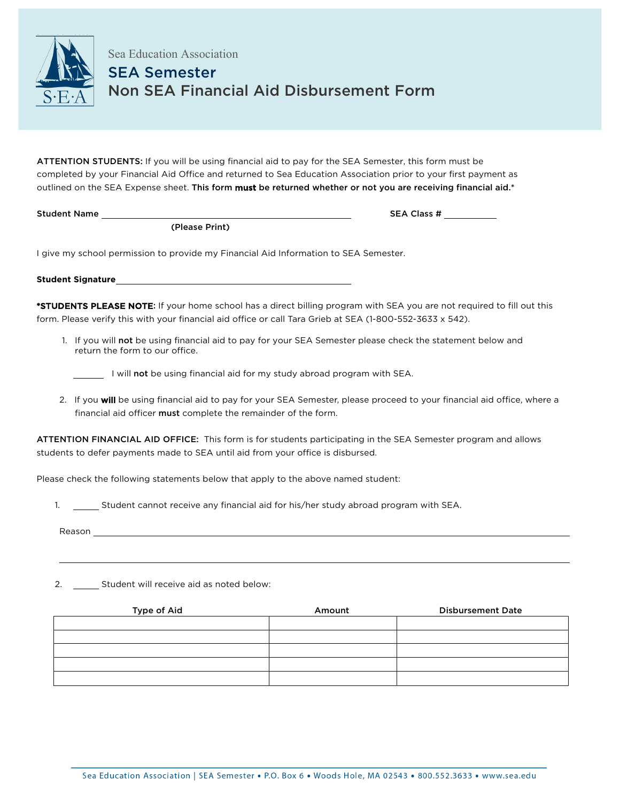

Sea Education Association SEA Semester Non SEA Financial Aid Disbursement Form

ATTENTION STUDENTS: If you will be using financial aid to pay for the SEA Semester, this form must be completed by your Financial Aid Office and returned to Sea Education Association prior to your first payment as outlined on the SEA Expense sheet. This form must be returned whether or not you are receiving financial aid.\*

(Please Print)

Student Name SEA Class #

I give my school permission to provide my Financial Aid Information to SEA Semester.

**Student Signature**

\*STUDENTS PLEASE NOTE: If your home school has a direct billing program with SEA you are not required to fill out this form. Please verify this with your financial aid office or call Tara Grieb at SEA (1-800-552-3633 x 542).

1. If you will not be using financial aid to pay for your SEA Semester please check the statement below and return the form to our office.

I will not be using financial aid for my study abroad program with SEA.

2. If you will be using financial aid to pay for your SEA Semester, please proceed to your financial aid office, where a financial aid officer must complete the remainder of the form.

ATTENTION FINANCIAL AID OFFICE: This form is for students participating in the SEA Semester program and allows students to defer payments made to SEA until aid from your office is disbursed.

Please check the following statements below that apply to the above named student:

1. \_\_\_\_\_\_ Student cannot receive any financial aid for his/her study abroad program with SEA.

Reason \_

2. \_\_\_\_\_\_\_ Student will receive aid as noted below:

| Type of Aid | Amount | <b>Disbursement Date</b> |
|-------------|--------|--------------------------|
|             |        |                          |
|             |        |                          |
|             |        |                          |
|             |        |                          |
|             |        |                          |